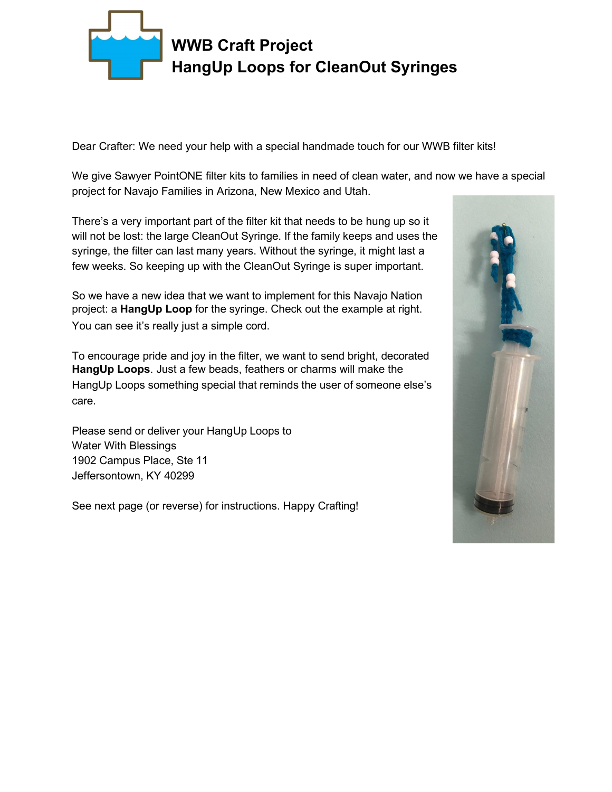

Dear Crafter: We need your help with a special handmade touch for our WWB filter kits!

We give Sawyer PointONE filter kits to families in need of clean water, and now we have a special project for Navajo Families in Arizona, New Mexico and Utah.

There's a very important part of the filter kit that needs to be hung up so it will not be lost: the large CleanOut Syringe. If the family keeps and uses the syringe, the filter can last many years. Without the syringe, it might last a few weeks. So keeping up with the CleanOut Syringe is super important.

So we have a new idea that we want to implement for this Navajo Nation project: a **HangUp Loop** for the syringe. Check out the example at right. You can see it's really just a simple cord.

To encourage pride and joy in the filter, we want to send bright, decorated **HangUp Loops**. Just a few beads, feathers or charms will make the HangUp Loops something special that reminds the user of someone else's care.

Please send or deliver your HangUp Loops to Water With Blessings 1902 Campus Place, Ste 11 Jeffersontown, KY 40299

See next page (or reverse) for instructions. Happy Crafting!